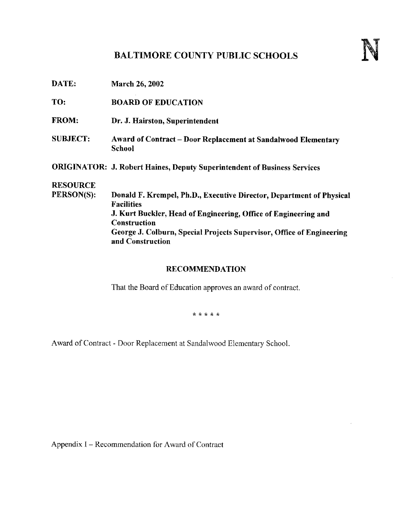# BALTIMORE COUNTY PUBLIC SCHOOLS

| DATE:           | <b>March 26, 2002</b>                                                                     |
|-----------------|-------------------------------------------------------------------------------------------|
| TO:             | <b>BOARD OF EDUCATION</b>                                                                 |
| <b>FROM:</b>    | Dr. J. Hairston, Superintendent                                                           |
| <b>SUBJECT:</b> | Award of Contract - Door Replacement at Sandalwood Elementary<br><b>School</b>            |
|                 | <b>ORIGINATOR: J. Robert Haines, Deputy Superintendent of Business Services</b>           |
| <b>RESOURCE</b> |                                                                                           |
| PERSON(S):      | Donald F. Krempel, Ph.D., Executive Director, Department of Physical<br><b>Facilities</b> |
|                 | J. Kurt Buckler, Head of Engineering, Office of Engineering and                           |
|                 | Construction                                                                              |
|                 | George J. Colburn, Special Projects Supervisor, Office of Engineering                     |

### RECOMMENDATION

That the Board of Education approves an award of contract.

\* \* \* \* \*

Award of Contract - Door Replacement at Sandalwood Elementary School.

Appendix 1- Recommendation for Award of Contract

and Construction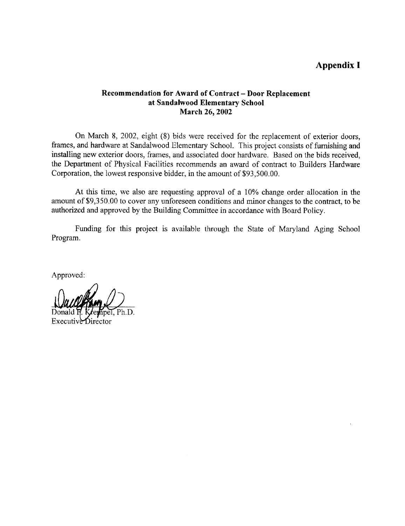## Appendix <sup>I</sup>

#### Recommendation for Award of Contract - Door Replacement at Sandalwood Elementary School March 26, 2002

On March 8, 2002, eight (8) bids were received for the replacement of exterior doors, frames, and hardware at Sandalwood Elementary School. This project consists of furnishing and installing new exterior doors, frames, and associated door hardware. Based on the bids received, the Department of Physical Facilities recommends an award of contract to Builders Hardware Corporation, the lowest responsive bidder, in the amount of \$93,500.00.

At this time, we also are requesting approval of a 10% change order allocation in the amount of \$9,350.00 to cover any unforeseen conditions and minor changes to the contract, to be authorized and approved by the Building Committee in accordance with Board Policy.

Funding for this project is available through the State of Maryland Aging School Program.

Approved:

Ph.D. Donald F

Executive Director